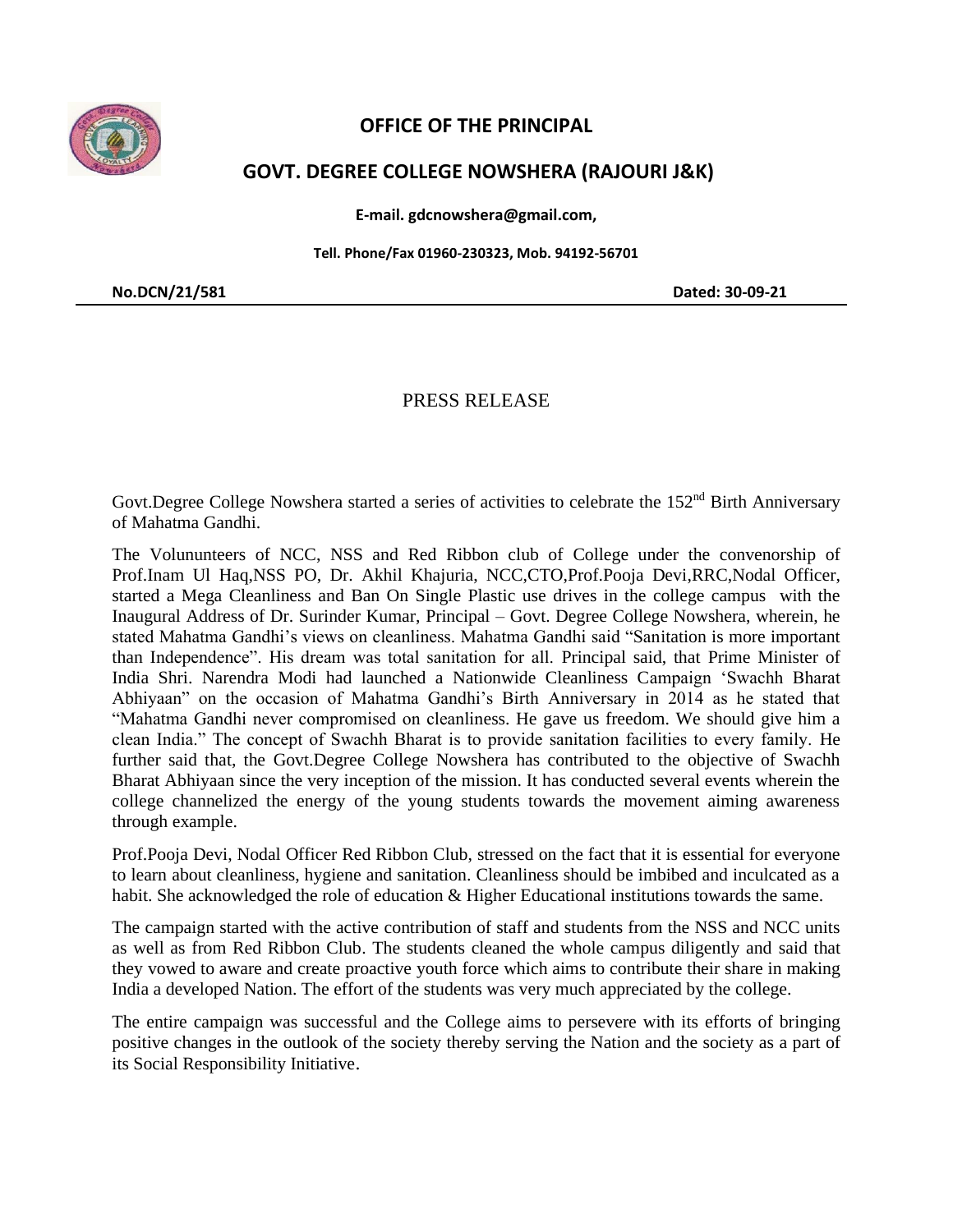

## **OFFICE OF THE PRINCIPAL**

## **GOVT. DEGREE COLLEGE NOWSHERA (RAJOURI J&K)**

**E-mail. gdcnowshera@gmail.com,**

**Tell. Phone/Fax 01960-230323, Mob. 94192-56701**

**No.DCN/21/581 Dated: 30-09-21**

## PRESS RELEASE

Govt.Degree College Nowshera started a series of activities to celebrate the 152<sup>nd</sup> Birth Anniversary of Mahatma Gandhi.

The Volununteers of NCC, NSS and Red Ribbon club of College under the convenorship of Prof.Inam Ul Haq,NSS PO, Dr. Akhil Khajuria, NCC,CTO,Prof.Pooja Devi,RRC,Nodal Officer, started a Mega Cleanliness and Ban On Single Plastic use drives in the college campus with the Inaugural Address of Dr. Surinder Kumar, Principal – Govt. Degree College Nowshera, wherein, he stated Mahatma Gandhi's views on cleanliness. Mahatma Gandhi said "Sanitation is more important than Independence". His dream was total sanitation for all. Principal said, that Prime Minister of India Shri. Narendra Modi had launched a Nationwide Cleanliness Campaign 'Swachh Bharat Abhiyaan" on the occasion of Mahatma Gandhi's Birth Anniversary in 2014 as he stated that "Mahatma Gandhi never compromised on cleanliness. He gave us freedom. We should give him a clean India." The concept of Swachh Bharat is to provide sanitation facilities to every family. He further said that, the Govt.Degree College Nowshera has contributed to the objective of Swachh Bharat Abhiyaan since the very inception of the mission. It has conducted several events wherein the college channelized the energy of the young students towards the movement aiming awareness through example.

Prof.Pooja Devi, Nodal Officer Red Ribbon Club, stressed on the fact that it is essential for everyone to learn about cleanliness, hygiene and sanitation. Cleanliness should be imbibed and inculcated as a habit. She acknowledged the role of education & Higher Educational institutions towards the same.

The campaign started with the active contribution of staff and students from the NSS and NCC units as well as from Red Ribbon Club. The students cleaned the whole campus diligently and said that they vowed to aware and create proactive youth force which aims to contribute their share in making India a developed Nation. The effort of the students was very much appreciated by the college.

The entire campaign was successful and the College aims to persevere with its efforts of bringing positive changes in the outlook of the society thereby serving the Nation and the society as a part of its Social Responsibility Initiative.